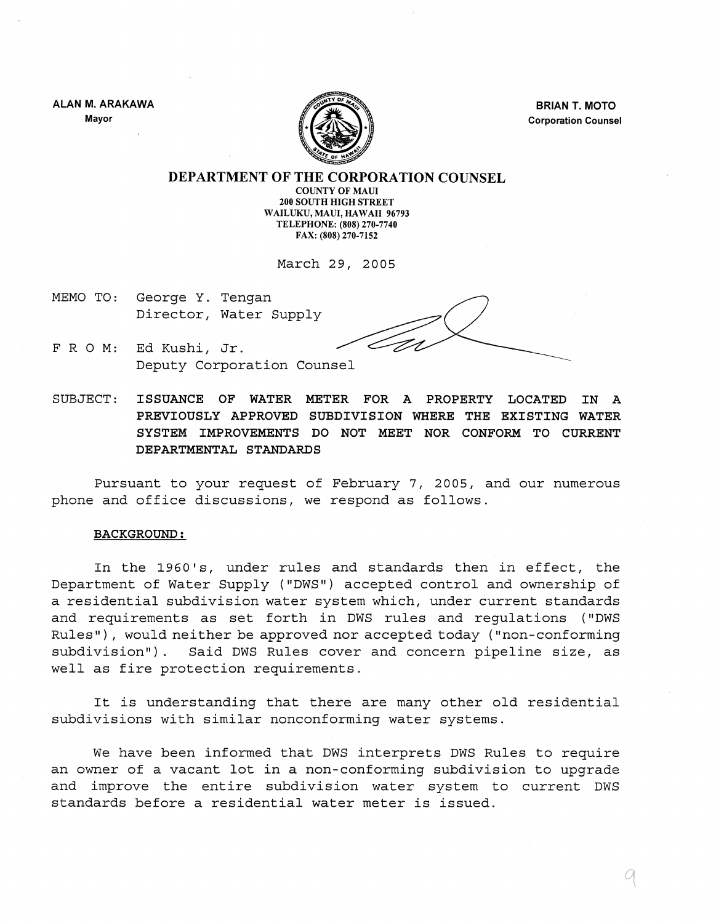ALAN M. ARAKAWA Mayor



BRIAN T. MOTO Corporation Counsel

DEPARTMENT OF THE CORPORATION COUNSEL

COUNTY OF MAUl 200 SOUTH HIGH STREET WAILUKU, MAUl, HAWAII 96793 TELEPHONE: (808) 270-7740 FAX: (808) 270-7152

March 29, 2005

- MEMO TO: George Y. Tengan Director, Water Supply
- FRO M: Ed Kushi, Jr. Deputy Corporation Counsel

SUBJECT: ISSUANCE OF WATER METER FOR A PROPERTY LOCATED IN A PREVIOUSLY APPROVED SUBDIVISION WHERE THE EXISTING WATER SYSTEM IMPROVEMENTS DO NOT MEET NOR CONFORM TO CURRENT DEPARTMENTAL STANDARDS

Pursuant to your request of February 7, 2005, and our numerous phone and office discussions, we respond as follows.

#### BACKGROUND:

In the 1960's, under rules and standards then in effect, the Department of Water Supply ("DWS") accepted control and ownership of a residential subdivision water system which, under current standards and requirements as set forth in DWS rules and requlations ("DWS Rules"), would neither be approved nor accepted today ("non-conforming subdivision"). Said DWS Rules cover and concern pipeline size, as well as fire protection requirements.

It is understanding that there are many other old residential subdivisions with similar nonconforming water systems.

We have been informed that DWS interprets DWS Rules to require an owner of a vacant lot in a non-conforming subdivision to upgrade and improve the entire subdivision water system to current DWS standards before a residential water meter is issued.

q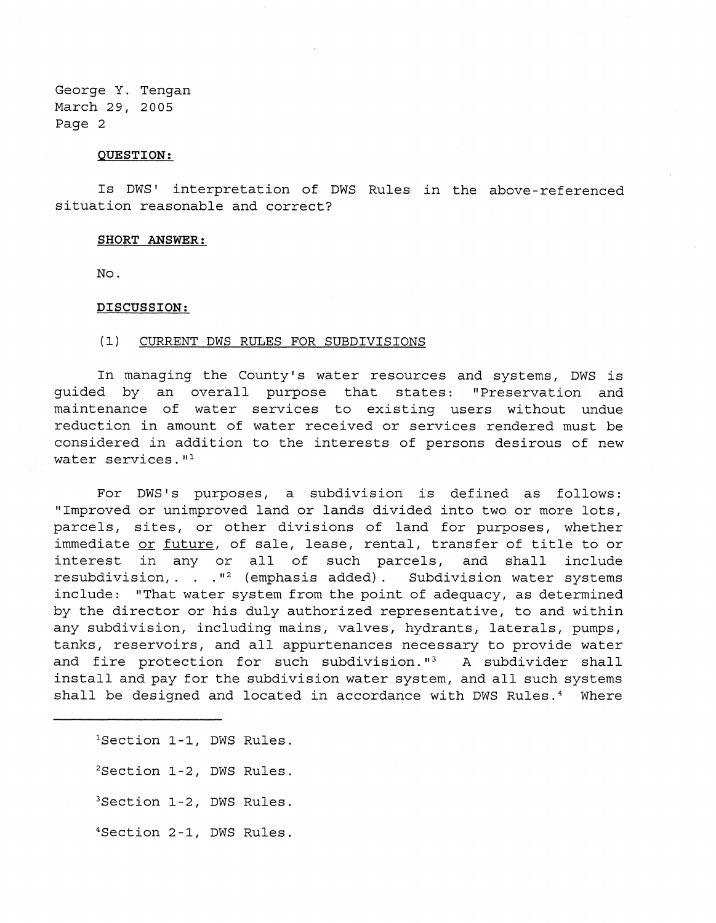#### **QUESTION:**

Is DWS' interpretation of DWS Rules in the above-referenced situation reasonable and correct?

#### **SHORT ANSWER:**

No.

## **DISCUSSION:**

### (1) CURRENT DWS RULES FOR SUBDIVISIONS

In managing the County's water resources and systems, DWS is guided by an overall purpose that states: "Preservation and maintenance of water services to existing users without undue reduction in amount of water received or services rendered must be considered in addition to the interests of persons desirous of new water services."<sup>1</sup>

For DWS's purposes, a subdivision is defined as follows: "Improved or unimproved land or lands divided into two or more lots, parcels, sites, or other divisions of land for purposes, whether immediate or future, of sale, lease, rental, transfer of title to or interest in any or all of such parcels, and shall include resubdivision, . .  $I^2$  (emphasis added). Subdivision water systems include: "That water system from the point of adequacy, as determined by the director or his duly authorized representative, to and within any subdivision, including mains, valves, hydrants, laterals, pumps, tanks, reservoirs, and all appurtenances necessary to provide water and fire protection for such subdivision."<sup>3</sup> A subdivider shall install and pay for the subdivision water system, and all such systems shall be designed and located in accordance with DWS Rules.<sup>4</sup> Where

<sup>1</sup>Section 1-1, DWS Rules. <sup>2</sup>Section 1-2, DWS Rules. 3Section 1-2, DWS Rules. 4Sec tion 2-1, DWS Rules.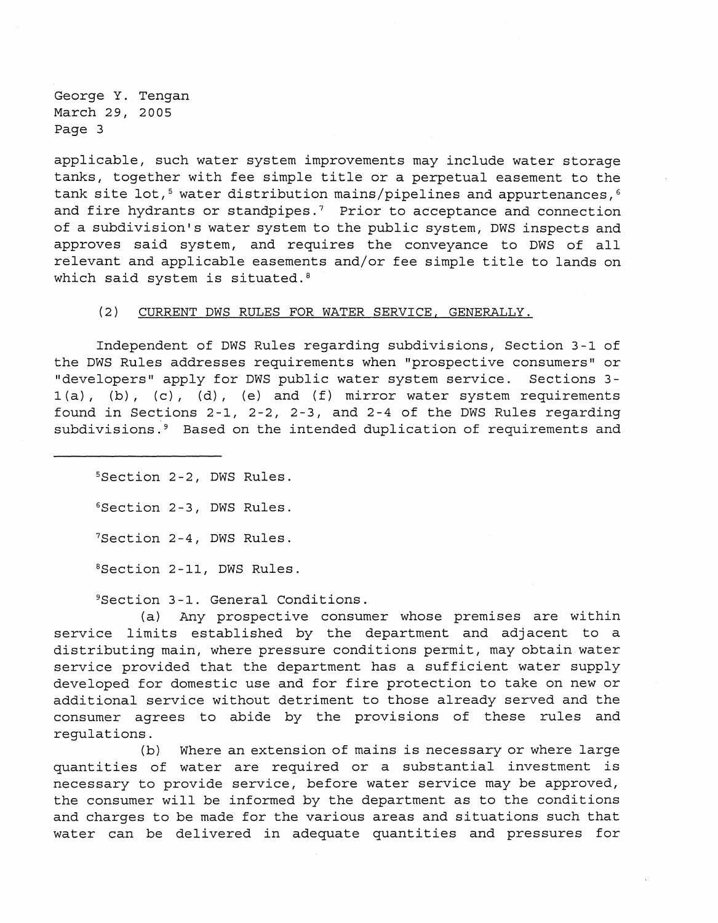applicable, such water system improvements may include water storage tanks, together with fee simple title or a perpetual easement to the tank site lot,<sup>5</sup> water distribution mains/pipelines and appurtenances,  $6$ and fire hydrants or standpipes.<sup>7</sup> Prior to acceptance and connection of a subdivision's water system to the public system, DWS inspects and approves said system, and requires the conveyance to DWS of all relevant and applicable easements and/or fee simple title to lands on which said system is situated.<sup>8</sup>

#### (2) CURRENT DWS RULES FOR WATER SERVICE, GENERALLY.

Independent of DWS Rules regarding subdivisions, Section 3-1 of the DWS Rules addresses requirements when "prospective consumers" or "developers" apply for DWS public water system service. Sections 3-  $1(a)$ , (b), (c), (d), (e) and (f) mirror water system requirements found in Sections 2-1, 2-2, 2-3, and 2-4 of the DWS Rules regarding subdivisions.<sup>9</sup> Based on the intended duplication of requirements and

SSection 2-2, DWS Rules. 6Section 2-3, DWS Rules. <sup>7</sup>Section 2-4, DWS Rules. <sup>8</sup>Section 2-11, DWS Rules.

<sup>9</sup>Section 3-1. General Conditions.

(a) Any prospective consumer whose premises are within service limits established by the department and adjacent to a distributing main, where pressure conditions permit, may obtain water service provided that the department has a sufficient water supply developed for domestic use and for fire protection to take on new or additional service without detriment to those already served and the consumer agrees to abide by the provisions of these rules and regulations.

(b) Where an extension of mains is necessary or where large quantities of water are required or a substantial investment is necessary to provide service, before water service may be approved, the consumer will be informed by the department as to the conditions and charges to be made for the various areas and situations such that water can be delivered in adequate quantities and pressures for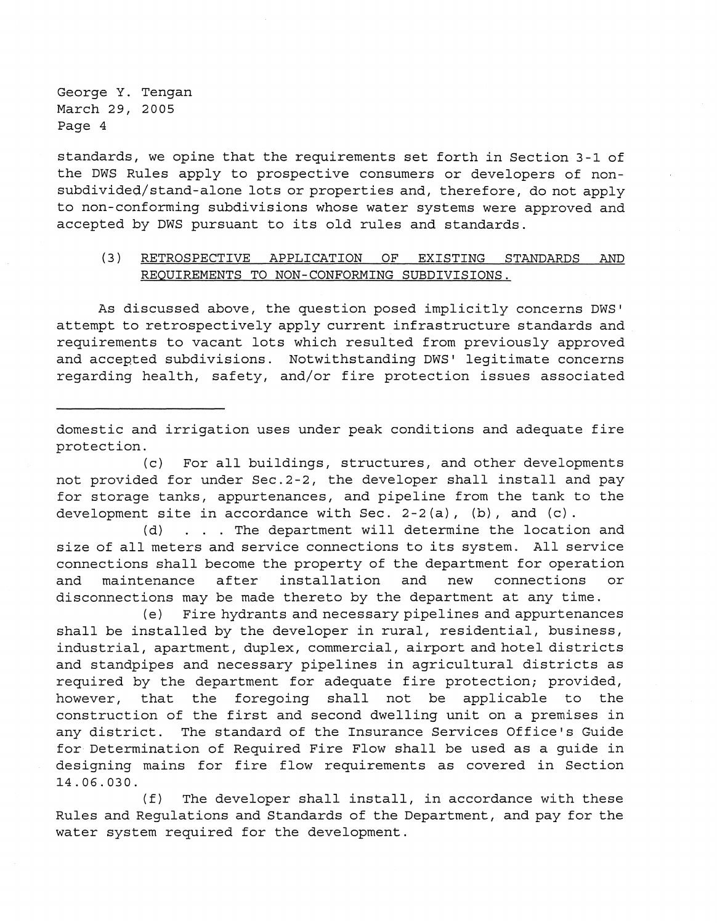standards, we opine that the requirements set forth in Section 3-1 of the DWS Rules apply to prospective consumers or developers of nonsubdivided/stand-alone lots or properties and, therefore, do not apply to non-conforming subdivisions whose water systems were approved and accepted by DWS pursuant to its old rules and standards.

# (3) RETROSPECTIVE APPLICATION OF EXISTING STANDARDS AND REQUIREMENTS TO NON-CONFORMING SUBDIVISIONS.

As discussed above, the question posed implicitly concerns DWS' attempt to retrospectively apply current infrastructure standards and requirements to vacant lots which resulted from previously approved and accepted subdivisions. Notwithstanding DWS' legitimate concerns regarding health, safety, and/or fire protection issues associated

domestic and irrigation uses under peak conditions and adequate fire protection.

(c) For all buildings, structures, and other developments not provided for under Sec.2-2, the developer shall install and pay for storage tanks, appurtenances, and pipeline from the tank to the development site in accordance with Sec. 2-2(a), (b), and (c).

(d) . The department will determine the location and size of all meters and service connections to its system. All service connections shall become the property of the department for operation and maintenance after installation and new connections or disconnections may be made thereto by the department at any time.

(e) Fire hydrants and necessary pipelines and appurtenances shall be installed by the developer in rural, residential, business, industrial, apartment, duplex, commercial, airport and hotel districts and standpipes and necessary pipelines in agricultural districts as required by the department for adequate fire protection; provided, however, that the foregoing shall not be applicable to the construction of the first and second dwelling unit on a premises in any district. The standard of the Insurance Services Office's Guide for Determination of Required Fire Flow shall be used as a guide in designing mains for fire flow requirements as covered in Section 14.06.030.

(f) The developer shall install, in accordance with these Rules and Regulations and Standards of the Department, and pay for the water system required for the development.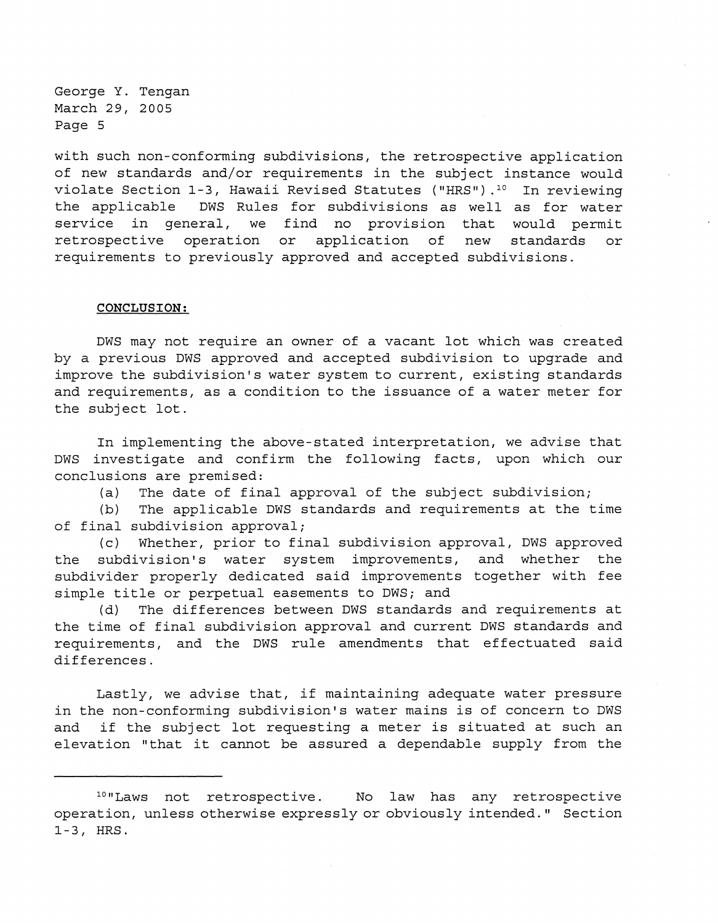with such non-conforming subdivisions, the retrospective application of new standards and/or requirements in the subject instance would violate Section 1-3, Hawaii Revised Statutes ("HRS").<sup>10</sup> In reviewing the applicable DWS Rules for subdivisions as well as for water service in general, we find no provision that would permit retrospective operation or application of new standards or requirements to previously approved and accepted subdivisions.

#### **CONCLUSION:**

DWS may not require an owner of a vacant lot which was created by a previous DWS approved and accepted subdivision to upgrade and improve the subdivision's water system to current, existing standards and requirements, as a condition to the issuance of a water meter for the subject lot.

In implementing the above-stated interpretation, we advise that DWS investigate and confirm the following facts, upon which our conclusions are premised:

(a) The date of final approval of the subject subdivision;

(b) The applicable DWS standards and requirements at the time of final subdivision approval;

(c) Whether, prior to final subdivision approval, DWS approved the subdivision's water system improvements, and whether the subdivider properly dedicated said improvements together with fee simple title or perpetual easements to DWS; and

(d) The differences between DWS standards and requirements at the time of final subdivision approval and current DWS standards and requirements, and the DWS rule amendments that effectuated said differences.

Lastly, we advise that, if maintaining adequate water pressure in the non-conforming subdivision's water mains is of concern to DWS and if the subject lot requesting a meter is situated at such an elevation "that it cannot be assured a dependable supply from the

l°"Laws not retrospective. No law has any retrospective operation, unless otherwise expressly or obviously intended." Section 1-3, HRS.